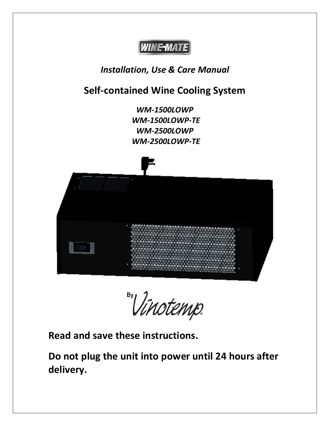

# *Installation, Use & Care Manual*

# **Self-contained Wine Cooling System**

*WM-1500LOWP WM-1500LOWP-TE WM-2500LOWP WM-2500LOWP-TE*



By Vinotemp.

**Read and save these instructions.**

**Do not plug the unit into power until 24 hours after delivery.**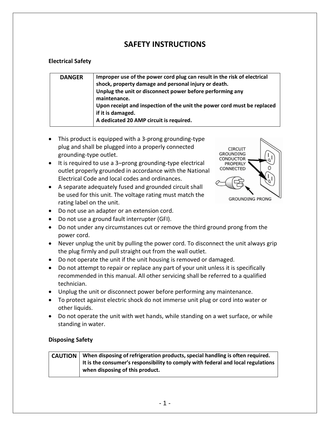### **SAFETY INSTRUCTIONS**

#### **Electrical Safety**

| if it is damaged.<br>A dedicated 20 AMP circuit is required. | Improper use of the power cord plug can result in the risk of electrical<br><b>DANGER</b><br>shock, property damage and personal injury or death.<br>Unplug the unit or disconnect power before performing any<br>maintenance.<br>Upon receipt and inspection of the unit the power cord must be replaced |
|--------------------------------------------------------------|-----------------------------------------------------------------------------------------------------------------------------------------------------------------------------------------------------------------------------------------------------------------------------------------------------------|
|--------------------------------------------------------------|-----------------------------------------------------------------------------------------------------------------------------------------------------------------------------------------------------------------------------------------------------------------------------------------------------------|

- This product is equipped with a 3-prong grounding-type plug and shall be plugged into a properly connected grounding-type outlet.
- It is required to use a 3–prong grounding-type electrical outlet properly grounded in accordance with the National Electrical Code and local codes and ordinances.
- A separate adequately fused and grounded circuit shall be used for this unit. The voltage rating must match the rating label on the unit.



- Do not use an adapter or an extension cord.
- Do not use a ground fault interrupter (GFI).
- Do not under any circumstances cut or remove the third ground prong from the power cord.
- Never unplug the unit by pulling the power cord. To disconnect the unit always grip the plug firmly and pull straight out from the wall outlet.
- Do not operate the unit if the unit housing is removed or damaged.
- Do not attempt to repair or replace any part of your unit unless it is specifically recommended in this manual. All other servicing shall be referred to a qualified technician.
- Unplug the unit or disconnect power before performing any maintenance.
- To protect against electric shock do not immerse unit plug or cord into water or other liquids.
- Do not operate the unit with wet hands, while standing on a wet surface, or while standing in water.

#### **Disposing Safety**

#### **CAUTION When disposing of refrigeration products, special handling is often required. It is the consumer's responsibility to comply with federal and local regulations when disposing of this product.**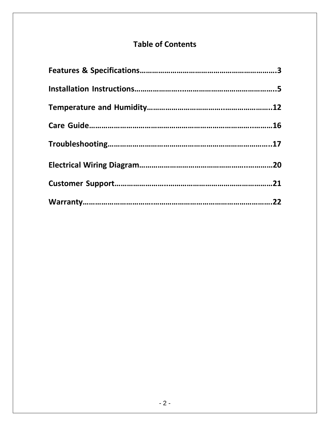# **Table of Contents**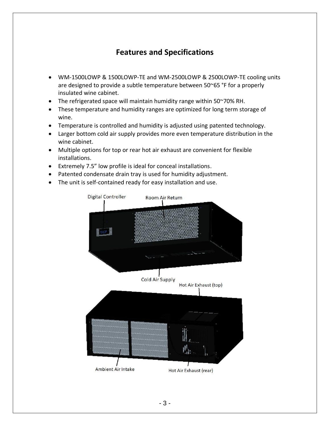## **Features and Specifications**

- WM-1500LOWP & 1500LOWP-TE and WM-2500LOWP & 2500LOWP-TE cooling units are designed to provide a subtle temperature between 50~65 °F for a properly insulated wine cabinet.
- The refrigerated space will maintain humidity range within 50~70% RH.
- These temperature and humidity ranges are optimized for long term storage of wine.
- Temperature is controlled and humidity is adjusted using patented technology.
- Larger bottom cold air supply provides more even temperature distribution in the wine cabinet.
- Multiple options for top or rear hot air exhaust are convenient for flexible installations.
- Extremely 7.5" low profile is ideal for conceal installations.
- Patented condensate drain tray is used for humidity adjustment.
- The unit is self-contained ready for easy installation and use.

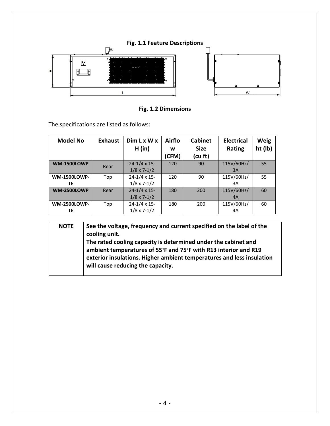

**Fig. 1.2 Dimensions**

The specifications are listed as follows:

| <b>Model No</b>           | <b>Exhaust</b> | Dim Lx Wx<br>H (in)                            | <b>Airflo</b><br>w<br>(CFM) | <b>Cabinet</b><br><b>Size</b><br>(cu ft) | <b>Electrical</b><br><b>Rating</b> | Weig<br>ht (lb) |
|---------------------------|----------------|------------------------------------------------|-----------------------------|------------------------------------------|------------------------------------|-----------------|
| <b>WM-1500LOWP</b>        | Rear           | $24 - 1/4 \times 15$<br>$1/8 \times 7 - 1/2$   | 120                         | 90                                       | 115V/60Hz/<br>3A                   | 55              |
| <b>WM-1500LOWP-</b><br>TE | Top            | $24 - 1/4 \times 15$ -<br>$1/8 \times 7 - 1/2$ | 120                         | 90                                       | 115V/60Hz/<br>3A                   | 55              |
| <b>WM-2500LOWP</b>        | Rear           | $24 - 1/4 \times 15$ -<br>$1/8 \times 7 - 1/2$ | 180                         | 200                                      | 115V/60Hz/<br>4A                   | 60              |
| <b>WM-2500LOWP-</b><br>ТE | Top            | $24 - 1/4 \times 15$ -<br>$1/8 \times 7 - 1/2$ | 180                         | 200                                      | 115V/60Hz/<br>4A                   | 60              |

| <b>NOTE</b> | See the voltage, frequency and current specified on the label of the<br>cooling unit.                                                                                                                                                           |
|-------------|-------------------------------------------------------------------------------------------------------------------------------------------------------------------------------------------------------------------------------------------------|
|             | The rated cooling capacity is determined under the cabinet and<br>ambient temperatures of 55°F and 75°F with R13 interior and R19<br>exterior insulations. Higher ambient temperatures and less insulation<br>will cause reducing the capacity. |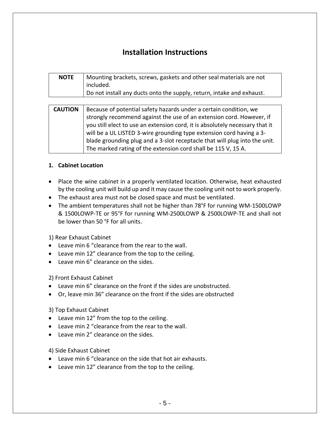## **Installation Instructions**

| <b>NOTE</b> | Mounting brackets, screws, gaskets and other seal materials are not<br>included. |
|-------------|----------------------------------------------------------------------------------|
|             | Do not install any ducts onto the supply, return, intake and exhaust.            |

| <b>CAUTION</b> | Because of potential safety hazards under a certain condition, we            |
|----------------|------------------------------------------------------------------------------|
|                | strongly recommend against the use of an extension cord. However, if         |
|                | you still elect to use an extension cord, it is absolutely necessary that it |
|                | will be a UL LISTED 3-wire grounding type extension cord having a 3-         |
|                | blade grounding plug and a 3-slot receptacle that will plug into the unit.   |
|                | The marked rating of the extension cord shall be 115 V, 15 A.                |

#### **1. Cabinet Location**

- Place the wine cabinet in a properly ventilated location. Otherwise, heat exhausted by the cooling unit will build up and it may cause the cooling unit not to work properly.
- The exhaust area must not be closed space and must be ventilated.
- The ambient temperatures shall not be higher than 78°F for running WM-1500LOWP & 1500LOWP-TE or 95°F for running WM-2500LOWP & 2500LOWP-TE and shall not be lower than 50 °F for all units.

#### 1) Rear Exhaust Cabinet

- Leave min 6 "clearance from the rear to the wall.
- Leave min 12" clearance from the top to the ceiling.
- Leave min 6" clearance on the sides.

2) Front Exhaust Cabinet

- Leave min 6" clearance on the front if the sides are unobstructed.
- Or, leave min 36" clearance on the front if the sides are obstructed

#### 3) Top Exhaust Cabinet

- Leave min 12" from the top to the ceiling.
- Leave min 2 "clearance from the rear to the wall.
- Leave min 2" clearance on the sides.
- 4) Side Exhaust Cabinet
- Leave min 6 "clearance on the side that hot air exhausts.
- Leave min 12" clearance from the top to the ceiling.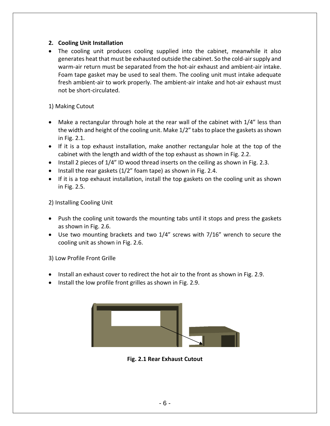#### **2. Cooling Unit Installation**

• The cooling unit produces cooling supplied into the cabinet, meanwhile it also generates heat that must be exhausted outside the cabinet. So the cold-air supply and warm-air return must be separated from the hot-air exhaust and ambient-air intake. Foam tape gasket may be used to seal them. The cooling unit must intake adequate fresh ambient-air to work properly. The ambient-air intake and hot-air exhaust must not be short-circulated.

#### 1) Making Cutout

- Make a rectangular through hole at the rear wall of the cabinet with 1/4" less than the width and height of the cooling unit. Make 1/2" tabsto place the gaskets as shown in Fig. 2.1.
- If it is a top exhaust installation, make another rectangular hole at the top of the cabinet with the length and width of the top exhaust as shown in Fig. 2.2.
- Install 2 pieces of 1/4" ID wood thread inserts on the ceiling as shown in Fig. 2.3.
- Install the rear gaskets (1/2" foam tape) as shown in Fig. 2.4.
- If it is a top exhaust installation, install the top gaskets on the cooling unit as shown in Fig. 2.5.

2) Installing Cooling Unit

- Push the cooling unit towards the mounting tabs until it stops and press the gaskets as shown in Fig. 2.6.
- Use two mounting brackets and two 1/4" screws with 7/16" wrench to secure the cooling unit as shown in Fig. 2.6.

3) Low Profile Front Grille

- Install an exhaust cover to redirect the hot air to the front as shown in Fig. 2.9.
- Install the low profile front grilles as shown in Fig. 2.9.



**Fig. 2.1 Rear Exhaust Cutout**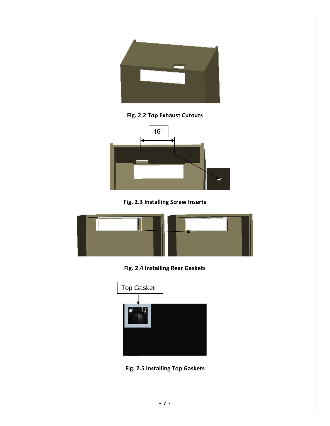

**Fig. 2.2 Top Exhaust Cutouts**



**Fig. 2.3 Installing Screw Inserts**



**Fig. 2.4 Installing Rear Gaskets**



**Fig. 2.5 Installing Top Gaskets**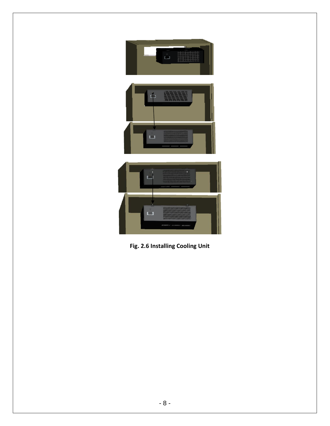

**Fig. 2.6 Installing Cooling Unit**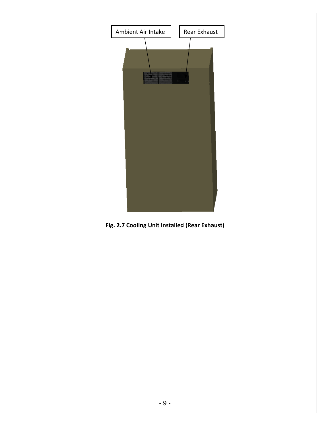

**Fig. 2.7 Cooling Unit Installed (Rear Exhaust)**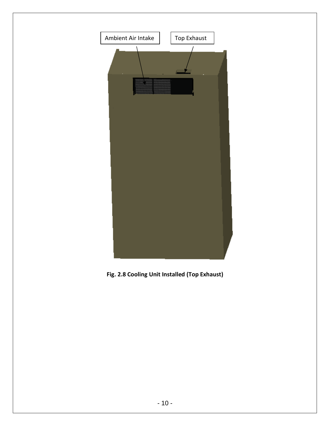

**Fig. 2.8 Cooling Unit Installed (Top Exhaust)**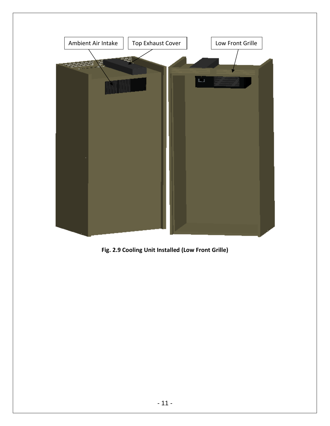

**Fig. 2.9 Cooling Unit Installed (Low Front Grille)**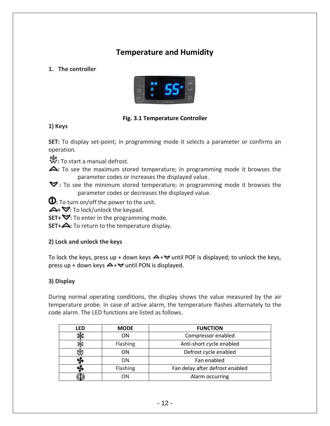## **Temperature and Humidity**

**1. The controller**



#### **Fig. 3.1 Temperature Controller**

**1) Keys**

**SET:** To display set-point; in programming mode it selects a parameter or confirms an operation.

**热**: To start a manual defrost.

- **:** To see the maximum stored temperature; in programming mode it browses the parameter codes or increases the displayed value.
- **:** To see the minimum stored temperature; in programming mode it browses the parameter codes or decreases the displayed value.

**1**: To turn on/off the power to the unit.

**△+ ▽**: To lock/unlock the keypad.

**SET+**  $\blacktriangledown$ : To enter in the programming mode.

**SET+**  $\triangle$ : To return to the temperature display.

#### **2) Lock and unlock the keys**

To lock the keys, press up + down keys  $\blacktriangle$  +  $\blacktriangledown$  until POF is displayed; to unlock the keys, press up + down keys  $\blacktriangle$  +  $\blacktriangledown$  until PON is displayed.

#### **3) Display**

During normal operating conditions, the display shows the value measured by the air temperature probe. In case of active alarm, the temperature flashes alternately to the code alarm. The LED functions are listed as follows.

| LFD | <b>MODE</b> | <b>FUNCTION</b>                 |
|-----|-------------|---------------------------------|
|     | <b>ON</b>   | Compressor enabled              |
|     | Flashing    | Anti-short cycle enabled        |
|     | ON.         | Defrost cycle enabled           |
|     | ΟN          | Fan enabled                     |
|     | Flashing    | Fan delay after defrost enabled |
|     | NС          | Alarm occurring                 |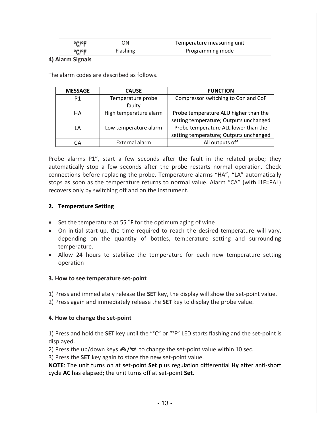| <b>DOM:</b> | λN              | Temperature measuring unit |
|-------------|-----------------|----------------------------|
|             | <b>Flashing</b> | Programming mode           |

#### **4) Alarm Signals**

The alarm codes are described as follows.

| <b>MESSAGE</b> | <b>CAUSE</b>           | <b>FUNCTION</b>                        |
|----------------|------------------------|----------------------------------------|
| P1             | Temperature probe      | Compressor switching to Con and CoF    |
|                | faulty                 |                                        |
| HA             | High temperature alarm | Probe temperature ALU higher than the  |
|                |                        | setting temperature; Outputs unchanged |
| LA             | Low temperature alarm  | Probe temperature ALL lower than the   |
|                |                        | setting temperature; Outputs unchanged |
|                | External alarm         | All outputs off                        |

Probe alarms P1", start a few seconds after the fault in the related probe; they automatically stop a few seconds after the probe restarts normal operation. Check connections before replacing the probe. Temperature alarms "HA", "LA" automatically stops as soon as the temperature returns to normal value. Alarm "CA" (with i1F=PAL) recovers only by switching off and on the instrument.

#### **2. Temperature Setting**

- Set the temperature at 55 °F for the optimum aging of wine
- On initial start-up, the time required to reach the desired temperature will vary, depending on the quantity of bottles, temperature setting and surrounding temperature.
- Allow 24 hours to stabilize the temperature for each new temperature setting operation

#### **3. How to see temperature set-point**

1) Press and immediately release the **SET** key, the display will show the set-point value.

2) Press again and immediately release the **SET** key to display the probe value.

#### **4. How to change the set-point**

1) Press and hold the **SET** key until the "°C" or "°F" LED starts flashing and the set-point is displayed.

2) Press the up/down keys  $\triangle$ / $\triangledown$  to change the set-point value within 10 sec.

3) Press the **SET** key again to store the new set-point value.

**NOTE**: The unit turns on at set-point **Set** plus regulation differential **Hy** after anti-short cycle **AC** has elapsed; the unit turns off at set-point **Set**.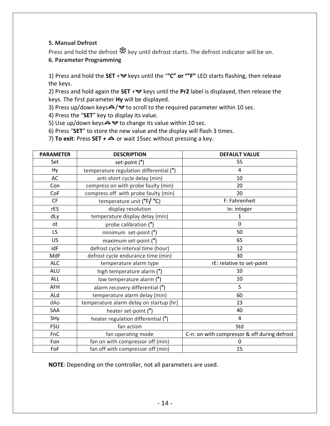#### **5. Manual Defrost**

Press and hold the defrost  $\ddot{\ddot{\mathbf{x}}}$  key until defrost starts. The defrost indicator will be on. **6. Parameter Programming**

1) Press and hold the SET + veys until the "°C" or "°F" LED starts flashing, then release the keys.

2) Press and hold again the **SET** + veys until the **Pr2** label is displayed, then release the keys. The first parameter **Hy** will be displayed.

3) Press up/down keys $\blacktriangle / \blacktriangledown$  to scroll to the required parameter within 10 sec.

4) Press the "**SET**" key to display its value.

5) Use up/down keys  $\blacktriangle \blacktriangledown$  to change its value within 10 sec.

6) Press "**SET**" to store the new value and the display will flash 3 times.

7) **To exit**: Press **SET +** or wait 15sec without pressing a key.

| <b>PARAMETER</b> | <b>DESCRIPTION</b>                       | <b>DEFAULT VALUE</b>                         |
|------------------|------------------------------------------|----------------------------------------------|
| Set              | set-point (°)                            | 55                                           |
| Hy               | temperature regulation differential (°)  | 4                                            |
| AC               | anti-short cycle delay (min)             | 10                                           |
| Con              | compress on with probe faulty (min)      | 20                                           |
| CoF              | compress off with probe faulty (min)     | 20                                           |
| <b>CF</b>        | temperature unit $(^{\circ}F/^{\circ}C)$ | F: Fahrenheit                                |
| rES              | display resolution                       | in: integer                                  |
| dLy              | temperature display delay (min)          | $\mathbf{1}$                                 |
| <b>ot</b>        | probe calibration (°)                    | 0                                            |
| LS               | minimum set-point (°)                    | 50                                           |
| <b>US</b>        | maximum set-point $(°)$                  | 65                                           |
| idF              | defrost cycle interval time (hour)       | 12                                           |
| MdF              | defrost cycle endurance time (min)       | 30                                           |
| <b>ALC</b>       | temperature alarm type                   | rE: relative to set-point                    |
| <b>ALU</b>       | high temperature alarm (°)               | 10                                           |
| <b>ALL</b>       | low temperature alarm (°)                | 10                                           |
| <b>AFH</b>       | alarm recovery differential (°)          | 5                                            |
| ALd              | temperature alarm delay (min)            | 60                                           |
| dAo              | temperature alarm delay on startup (hr)  | 23                                           |
| <b>SAA</b>       | heater set-point (°)                     | 40                                           |
| SHy              | heater regulation differential (°)       | 4                                            |
| <b>FSU</b>       | fan action                               | Std                                          |
| FnC              | fan operating mode                       | C-n: on with compressor & off during defrost |
| Fon              | fan on with compressor off (min)         | 0                                            |
| FoF              | fan off with compressor off (min)        | 15                                           |

**NOTE**: Depending on the controller, not all parameters are used.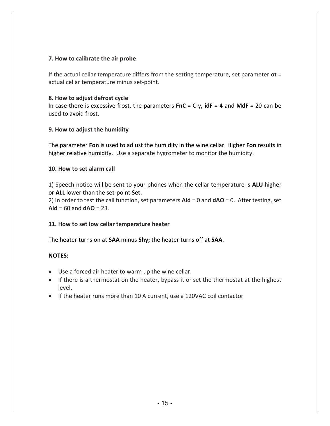#### **7. How to calibrate the air probe**

If the actual cellar temperature differs from the setting temperature, set parameter **ot** = actual cellar temperature minus set-point.

#### **8. How to adjust defrost cycle**

In case there is excessive frost, the parameters **FnC** = C-y**, idF** = **4** and **MdF** = 20 can be used to avoid frost.

#### **9. How to adjust the humidity**

The parameter **Fon** is used to adjust the humidity in the wine cellar. Higher **Fon** results in higher relative humidity. Use a separate hygrometer to monitor the humidity.

#### **10. How to set alarm call**

1) Speech notice will be sent to your phones when the cellar temperature is **ALU** higher or **ALL** lower than the set-point **Set**.

2) In order to test the call function, set parameters **Ald** = 0 and **dAO** = 0. After testing, set  $A$ **ld** = 60 and  $d$ **AO** = 23.

#### **11. How to set low cellar temperature heater**

The heater turns on at **SAA** minus **Shy;** the heater turns off at **SAA**.

#### **NOTES:**

- Use a forced air heater to warm up the wine cellar.
- If there is a thermostat on the heater, bypass it or set the thermostat at the highest level.
- If the heater runs more than 10 A current, use a 120VAC coil contactor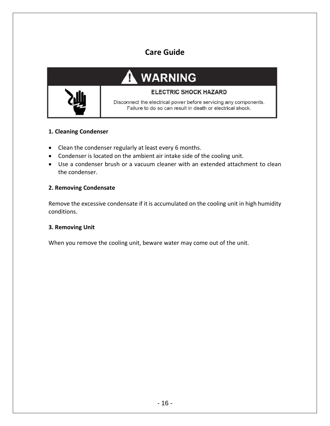## **Care Guide**

### **WARNING** Р **ELECTRIC SHOCK HAZARD**



#### **1. Cleaning Condenser**

- Clean the condenser regularly at least every 6 months.
- Condenser is located on the ambient air intake side of the cooling unit.
- Use a condenser brush or a vacuum cleaner with an extended attachment to clean the condenser.

#### **2. Removing Condensate**

Remove the excessive condensate if it is accumulated on the cooling unit in high humidity conditions.

#### **3. Removing Unit**

When you remove the cooling unit, beware water may come out of the unit.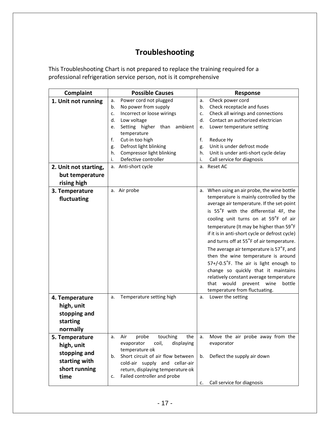# **Troubleshooting**

This Troubleshooting Chart is not prepared to replace the training required for a professional refrigeration service person, not is it comprehensive

| Complaint             | <b>Possible Causes</b>                  | Response                                       |
|-----------------------|-----------------------------------------|------------------------------------------------|
| 1. Unit not running   | Power cord not plugged<br>a.            | Check power cord<br>a.                         |
|                       | No power from supply<br>b.              | Check receptacle and fuses<br>b.               |
|                       | Incorrect or loose wirings<br>c.        | Check all wirings and connections<br>c.        |
|                       | Low voltage<br>d.                       | Contact an authorized electrician<br>d.        |
|                       | Setting higher<br>than<br>ambient<br>e. | Lower temperature setting<br>e.                |
|                       | temperature                             |                                                |
|                       | f.<br>Cut-in too high                   | f.<br>Reduce Hy                                |
|                       | Defrost light blinking<br>g.            | Unit is under defrost mode<br>g.               |
|                       | Compressor light blinking<br>h.         | Unit is under anti-short cycle delay<br>h.     |
|                       | Defective controller<br>i.              | Call service for diagnosis<br>i.               |
| 2. Unit not starting, | Anti-short cycle<br>а.                  | a. Reset AC                                    |
| but temperature       |                                         |                                                |
| rising high           |                                         |                                                |
| 3. Temperature        | a. Air probe                            | a. When using an air probe, the wine bottle    |
| fluctuating           |                                         | temperature is mainly controlled by the        |
|                       |                                         | average air temperature. If the set-point      |
|                       |                                         | is 55°F with the differential 4F, the          |
|                       |                                         | cooling unit turns on at 59°F of air           |
|                       |                                         | temperature (It may be higher than 59°F        |
|                       |                                         | if it is in anti-short cycle or defrost cycle) |
|                       |                                         | and turns off at 55°F of air temperature.      |
|                       |                                         | The average air temperature is 57°F, and       |
|                       |                                         | then the wine temperature is around            |
|                       |                                         | 57+/-0.5°F. The air is light enough to         |
|                       |                                         | change so quickly that it maintains            |
|                       |                                         | relatively constant average temperature        |
|                       |                                         | prevent wine<br>that would<br>bottle           |
|                       |                                         | temperature from fluctuating.                  |
| 4. Temperature        | Temperature setting high<br>a.          | Lower the setting<br>a.                        |
| high, unit            |                                         |                                                |
| stopping and          |                                         |                                                |
| starting              |                                         |                                                |
| normally              |                                         |                                                |
| 5. Temperature        | touching<br>the<br>Air<br>probe<br>a.   | Move the air probe away from the<br>а.         |
| high, unit            | displaying<br>evaporator<br>coil,       | evaporator                                     |
|                       | temperature ok                          |                                                |
| stopping and          | Short circuit of air flow between<br>b. | Deflect the supply air down<br>b.              |
| starting with         | cold-air supply and cellar-air          |                                                |
| short running         | return, displaying temperature ok       |                                                |
| time                  | Failed controller and probe<br>c.       |                                                |
|                       |                                         | Call service for diagnosis<br>c.               |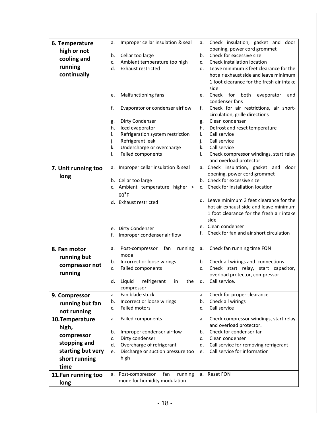| 6. Temperature                                               | Improper cellar insulation & seal<br>a.  | Check insulation, gasket and door<br>а.       |
|--------------------------------------------------------------|------------------------------------------|-----------------------------------------------|
| high or not                                                  |                                          | opening, power cord grommet                   |
| cooling and                                                  | Cellar too large<br>b.                   | Check for excessive size<br>b.                |
|                                                              | Ambient temperature too high<br>c.       | Check installation location<br>c.             |
| running                                                      | <b>Exhaust restricted</b><br>d.          | Leave minimum 3 feet clearance for the<br>d.  |
| continually                                                  |                                          | hot air exhaust side and leave minimum        |
|                                                              |                                          | 1 foot clearance for the fresh air intake     |
|                                                              |                                          | side                                          |
|                                                              | Malfunctioning fans<br>e.                | Check for both<br>evaporator<br>and<br>e.     |
|                                                              |                                          | condenser fans                                |
|                                                              | f.<br>Evaporator or condenser airflow    | Check for air restrictions, air short-<br>f.  |
|                                                              |                                          | circulation, grille directions                |
|                                                              | Dirty Condenser<br>g.                    | Clean condenser<br>g.                         |
|                                                              | h.<br>Iced evaporator                    | h.<br>Defrost and reset temperature           |
|                                                              | Refrigeration system restriction<br>i.   | i.<br>Call service                            |
|                                                              | Refrigerant leak<br>j.                   | Call service<br>j.                            |
|                                                              | k.<br>Undercharge or overcharge          | k.<br>Call service                            |
|                                                              | Failed components<br>I.                  | I.<br>Check compressor windings, start relay  |
|                                                              |                                          | and overload protector                        |
| 7. Unit running too                                          | a. Improper cellar insulation & seal     | a. Check insulation, gasket and door          |
| long                                                         |                                          | opening, power cord grommet                   |
|                                                              | b. Cellar too large                      | b. Check for excessive size                   |
|                                                              | c. Ambient temperature higher >          | c. Check for installation location            |
|                                                              | $90^{\circ}$ F                           |                                               |
|                                                              | d. Exhaust restricted                    | d. Leave minimum 3 feet clearance for the     |
|                                                              |                                          | hot air exhaust side and leave minimum        |
|                                                              |                                          | 1 foot clearance for the fresh air intake     |
|                                                              |                                          | side                                          |
|                                                              | e. Dirty Condenser                       | e. Clean condenser                            |
|                                                              | Improper condenser air flow<br>f.        | Check for fan and air short circulation<br>f. |
|                                                              |                                          |                                               |
| 8. Fan motor                                                 | fan<br>Post-compressor<br>running<br>a.  | Check fan running time FON<br>a.              |
|                                                              | mode                                     |                                               |
| running but                                                  | Incorrect or loose wirings<br>b.         | Check all wirings and connections<br>b.       |
| compressor not                                               | Failed components<br>c.                  | Check start relay, start capacitor,<br>c.     |
| running                                                      |                                          | overload protector, compressor.               |
|                                                              | Liquid<br>refrigerant<br>d.<br>in<br>the | Call service.<br>d.                           |
|                                                              | compressor                               |                                               |
| 9. Compressor                                                | Fan blade stuck<br>a.                    | Check for proper clearance<br>a.              |
| running but fan                                              | Incorrect or loose wirings<br>b.         | Check all wirings<br>b.                       |
|                                                              | <b>Failed motors</b><br>c.               | Call service<br>c.                            |
| not running                                                  |                                          |                                               |
| 10.Temperature                                               | Failed components<br>а.                  | Check compressor windings, start relay<br>a.  |
| high,                                                        |                                          | and overload protector.                       |
| compressor                                                   | Improper condenser airflow<br>b.         | Check for condenser fan<br>b.                 |
| Dirty condenser<br>c.                                        |                                          | Clean condenser<br>c.                         |
| stopping and<br>Overcharge of refrigerant<br>d.              |                                          | Call service for removing refrigerant<br>d.   |
| starting but very<br>Discharge or suction pressure too<br>e. |                                          | Call service for information<br>e.            |
| short running                                                | high                                     |                                               |
| time                                                         |                                          |                                               |
| 11.Fan running too                                           | a. Post-compressor<br>fan<br>running     | a. Reset FON                                  |
|                                                              | mode for humidity modulation             |                                               |
| long                                                         |                                          |                                               |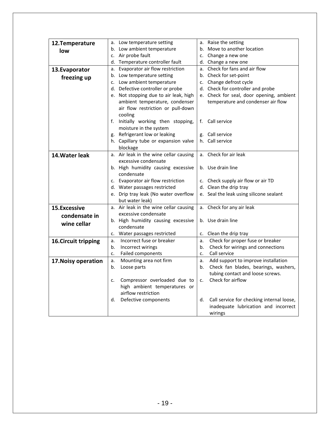| Low temperature setting<br>a. Raise the setting<br>12. Temperature<br>а.<br>b. Low ambient temperature<br>b. Move to another location<br>low<br>c. Air probe fault<br>c. Change a new one<br>d. Temperature controller fault<br>d. Change a new one<br>Evaporator air flow restriction<br>a. Check for fans and air flow<br>13. Evaporator<br>а.<br>b. Check for set-point<br>b. Low temperature setting<br>freezing up<br>c. Low ambient temperature<br>c. Change defrost cycle<br>d. Defective controller or probe<br>d. Check for controller and probe<br>e. Not stopping due to air leak, high<br>e. Check for seal, door opening, ambient<br>ambient temperature, condenser<br>temperature and condenser air flow<br>air flow restriction or pull-down<br>cooling<br>f. Initially working then stopping,<br>Call service<br>f.<br>moisture in the system<br>g. Refrigerant low or leaking<br>g. Call service<br>h. Capillary tube or expansion valve<br>h. Call service<br>blockage<br>a. Check for air leak<br>a. Air leak in the wine cellar causing<br>14. Water leak<br>excessive condensate<br>b. Use drain line<br>b. High humidity causing excessive<br>condensate<br>c. Evaporator air flow restriction<br>c. Check supply air flow or air TD<br>d. Clean the drip tray<br>d. Water passages restricted<br>e. Drip tray leak (No water overflow<br>e. Seal the leak using silicone sealant<br>but water leak)<br>a. Air leak in the wine cellar causing<br>Check for any air leak<br>15.Excessive<br>a. |
|----------------------------------------------------------------------------------------------------------------------------------------------------------------------------------------------------------------------------------------------------------------------------------------------------------------------------------------------------------------------------------------------------------------------------------------------------------------------------------------------------------------------------------------------------------------------------------------------------------------------------------------------------------------------------------------------------------------------------------------------------------------------------------------------------------------------------------------------------------------------------------------------------------------------------------------------------------------------------------------------------------------------------------------------------------------------------------------------------------------------------------------------------------------------------------------------------------------------------------------------------------------------------------------------------------------------------------------------------------------------------------------------------------------------------------------------------------------------------------------------------------------------|
|                                                                                                                                                                                                                                                                                                                                                                                                                                                                                                                                                                                                                                                                                                                                                                                                                                                                                                                                                                                                                                                                                                                                                                                                                                                                                                                                                                                                                                                                                                                      |
|                                                                                                                                                                                                                                                                                                                                                                                                                                                                                                                                                                                                                                                                                                                                                                                                                                                                                                                                                                                                                                                                                                                                                                                                                                                                                                                                                                                                                                                                                                                      |
|                                                                                                                                                                                                                                                                                                                                                                                                                                                                                                                                                                                                                                                                                                                                                                                                                                                                                                                                                                                                                                                                                                                                                                                                                                                                                                                                                                                                                                                                                                                      |
|                                                                                                                                                                                                                                                                                                                                                                                                                                                                                                                                                                                                                                                                                                                                                                                                                                                                                                                                                                                                                                                                                                                                                                                                                                                                                                                                                                                                                                                                                                                      |
|                                                                                                                                                                                                                                                                                                                                                                                                                                                                                                                                                                                                                                                                                                                                                                                                                                                                                                                                                                                                                                                                                                                                                                                                                                                                                                                                                                                                                                                                                                                      |
|                                                                                                                                                                                                                                                                                                                                                                                                                                                                                                                                                                                                                                                                                                                                                                                                                                                                                                                                                                                                                                                                                                                                                                                                                                                                                                                                                                                                                                                                                                                      |
|                                                                                                                                                                                                                                                                                                                                                                                                                                                                                                                                                                                                                                                                                                                                                                                                                                                                                                                                                                                                                                                                                                                                                                                                                                                                                                                                                                                                                                                                                                                      |
|                                                                                                                                                                                                                                                                                                                                                                                                                                                                                                                                                                                                                                                                                                                                                                                                                                                                                                                                                                                                                                                                                                                                                                                                                                                                                                                                                                                                                                                                                                                      |
|                                                                                                                                                                                                                                                                                                                                                                                                                                                                                                                                                                                                                                                                                                                                                                                                                                                                                                                                                                                                                                                                                                                                                                                                                                                                                                                                                                                                                                                                                                                      |
|                                                                                                                                                                                                                                                                                                                                                                                                                                                                                                                                                                                                                                                                                                                                                                                                                                                                                                                                                                                                                                                                                                                                                                                                                                                                                                                                                                                                                                                                                                                      |
|                                                                                                                                                                                                                                                                                                                                                                                                                                                                                                                                                                                                                                                                                                                                                                                                                                                                                                                                                                                                                                                                                                                                                                                                                                                                                                                                                                                                                                                                                                                      |
|                                                                                                                                                                                                                                                                                                                                                                                                                                                                                                                                                                                                                                                                                                                                                                                                                                                                                                                                                                                                                                                                                                                                                                                                                                                                                                                                                                                                                                                                                                                      |
|                                                                                                                                                                                                                                                                                                                                                                                                                                                                                                                                                                                                                                                                                                                                                                                                                                                                                                                                                                                                                                                                                                                                                                                                                                                                                                                                                                                                                                                                                                                      |
|                                                                                                                                                                                                                                                                                                                                                                                                                                                                                                                                                                                                                                                                                                                                                                                                                                                                                                                                                                                                                                                                                                                                                                                                                                                                                                                                                                                                                                                                                                                      |
|                                                                                                                                                                                                                                                                                                                                                                                                                                                                                                                                                                                                                                                                                                                                                                                                                                                                                                                                                                                                                                                                                                                                                                                                                                                                                                                                                                                                                                                                                                                      |
|                                                                                                                                                                                                                                                                                                                                                                                                                                                                                                                                                                                                                                                                                                                                                                                                                                                                                                                                                                                                                                                                                                                                                                                                                                                                                                                                                                                                                                                                                                                      |
|                                                                                                                                                                                                                                                                                                                                                                                                                                                                                                                                                                                                                                                                                                                                                                                                                                                                                                                                                                                                                                                                                                                                                                                                                                                                                                                                                                                                                                                                                                                      |
|                                                                                                                                                                                                                                                                                                                                                                                                                                                                                                                                                                                                                                                                                                                                                                                                                                                                                                                                                                                                                                                                                                                                                                                                                                                                                                                                                                                                                                                                                                                      |
|                                                                                                                                                                                                                                                                                                                                                                                                                                                                                                                                                                                                                                                                                                                                                                                                                                                                                                                                                                                                                                                                                                                                                                                                                                                                                                                                                                                                                                                                                                                      |
|                                                                                                                                                                                                                                                                                                                                                                                                                                                                                                                                                                                                                                                                                                                                                                                                                                                                                                                                                                                                                                                                                                                                                                                                                                                                                                                                                                                                                                                                                                                      |
|                                                                                                                                                                                                                                                                                                                                                                                                                                                                                                                                                                                                                                                                                                                                                                                                                                                                                                                                                                                                                                                                                                                                                                                                                                                                                                                                                                                                                                                                                                                      |
|                                                                                                                                                                                                                                                                                                                                                                                                                                                                                                                                                                                                                                                                                                                                                                                                                                                                                                                                                                                                                                                                                                                                                                                                                                                                                                                                                                                                                                                                                                                      |
|                                                                                                                                                                                                                                                                                                                                                                                                                                                                                                                                                                                                                                                                                                                                                                                                                                                                                                                                                                                                                                                                                                                                                                                                                                                                                                                                                                                                                                                                                                                      |
|                                                                                                                                                                                                                                                                                                                                                                                                                                                                                                                                                                                                                                                                                                                                                                                                                                                                                                                                                                                                                                                                                                                                                                                                                                                                                                                                                                                                                                                                                                                      |
|                                                                                                                                                                                                                                                                                                                                                                                                                                                                                                                                                                                                                                                                                                                                                                                                                                                                                                                                                                                                                                                                                                                                                                                                                                                                                                                                                                                                                                                                                                                      |
|                                                                                                                                                                                                                                                                                                                                                                                                                                                                                                                                                                                                                                                                                                                                                                                                                                                                                                                                                                                                                                                                                                                                                                                                                                                                                                                                                                                                                                                                                                                      |
| excessive condensate<br>condensate in                                                                                                                                                                                                                                                                                                                                                                                                                                                                                                                                                                                                                                                                                                                                                                                                                                                                                                                                                                                                                                                                                                                                                                                                                                                                                                                                                                                                                                                                                |
| b. High humidity causing excessive<br>b. Use drain line                                                                                                                                                                                                                                                                                                                                                                                                                                                                                                                                                                                                                                                                                                                                                                                                                                                                                                                                                                                                                                                                                                                                                                                                                                                                                                                                                                                                                                                              |
| wine cellar<br>condensate                                                                                                                                                                                                                                                                                                                                                                                                                                                                                                                                                                                                                                                                                                                                                                                                                                                                                                                                                                                                                                                                                                                                                                                                                                                                                                                                                                                                                                                                                            |
| c. Water passages restricted<br>c. Clean the drip tray                                                                                                                                                                                                                                                                                                                                                                                                                                                                                                                                                                                                                                                                                                                                                                                                                                                                                                                                                                                                                                                                                                                                                                                                                                                                                                                                                                                                                                                               |
| Incorrect fuse or breaker<br>Check for proper fuse or breaker<br><b>16. Circuit tripping</b><br>a.<br>a.                                                                                                                                                                                                                                                                                                                                                                                                                                                                                                                                                                                                                                                                                                                                                                                                                                                                                                                                                                                                                                                                                                                                                                                                                                                                                                                                                                                                             |
| Incorrect wirings<br>Check for wirings and connections<br>b.<br>b.                                                                                                                                                                                                                                                                                                                                                                                                                                                                                                                                                                                                                                                                                                                                                                                                                                                                                                                                                                                                                                                                                                                                                                                                                                                                                                                                                                                                                                                   |
| Failed components<br>Call service<br>c.<br>c.                                                                                                                                                                                                                                                                                                                                                                                                                                                                                                                                                                                                                                                                                                                                                                                                                                                                                                                                                                                                                                                                                                                                                                                                                                                                                                                                                                                                                                                                        |
| Add support to improve installation<br>Mounting area not firm<br>17. Noisy operation<br>a.<br>a.                                                                                                                                                                                                                                                                                                                                                                                                                                                                                                                                                                                                                                                                                                                                                                                                                                                                                                                                                                                                                                                                                                                                                                                                                                                                                                                                                                                                                     |
| Check fan blades, bearings, washers,<br>Loose parts<br>b.<br>b.                                                                                                                                                                                                                                                                                                                                                                                                                                                                                                                                                                                                                                                                                                                                                                                                                                                                                                                                                                                                                                                                                                                                                                                                                                                                                                                                                                                                                                                      |
| tubing contact and loose screws.                                                                                                                                                                                                                                                                                                                                                                                                                                                                                                                                                                                                                                                                                                                                                                                                                                                                                                                                                                                                                                                                                                                                                                                                                                                                                                                                                                                                                                                                                     |
| Check for airflow<br>Compressor overloaded due to<br>c.<br>c.                                                                                                                                                                                                                                                                                                                                                                                                                                                                                                                                                                                                                                                                                                                                                                                                                                                                                                                                                                                                                                                                                                                                                                                                                                                                                                                                                                                                                                                        |
| high ambient temperatures or                                                                                                                                                                                                                                                                                                                                                                                                                                                                                                                                                                                                                                                                                                                                                                                                                                                                                                                                                                                                                                                                                                                                                                                                                                                                                                                                                                                                                                                                                         |
| airflow restriction                                                                                                                                                                                                                                                                                                                                                                                                                                                                                                                                                                                                                                                                                                                                                                                                                                                                                                                                                                                                                                                                                                                                                                                                                                                                                                                                                                                                                                                                                                  |
| Defective components<br>Call service for checking internal loose,<br>d.<br>d.                                                                                                                                                                                                                                                                                                                                                                                                                                                                                                                                                                                                                                                                                                                                                                                                                                                                                                                                                                                                                                                                                                                                                                                                                                                                                                                                                                                                                                        |
| inadequate lubrication and incorrect                                                                                                                                                                                                                                                                                                                                                                                                                                                                                                                                                                                                                                                                                                                                                                                                                                                                                                                                                                                                                                                                                                                                                                                                                                                                                                                                                                                                                                                                                 |
| wirings                                                                                                                                                                                                                                                                                                                                                                                                                                                                                                                                                                                                                                                                                                                                                                                                                                                                                                                                                                                                                                                                                                                                                                                                                                                                                                                                                                                                                                                                                                              |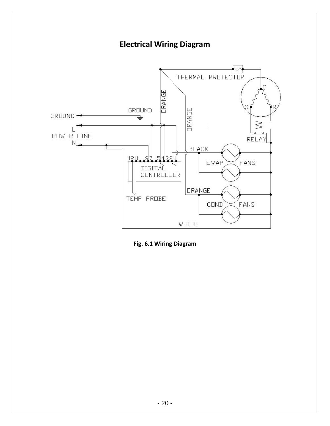

**Fig. 6.1 Wiring Diagram**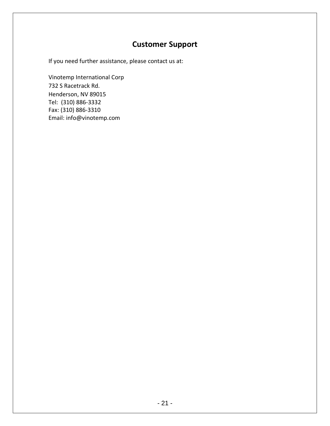## **Customer Support**

If you need further assistance, please contact us at:

Vinotemp International Corp 732 S Racetrack Rd. Henderson, NV 89015 Tel: (310) 886-3332 Fax: (310) 886-3310 Email: info@vinotemp.com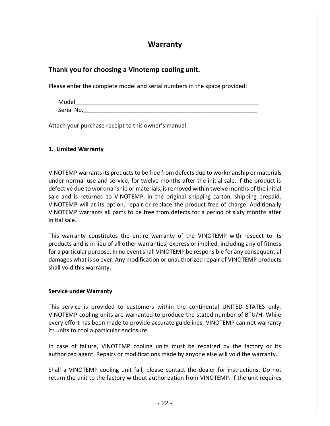### **Warranty**

### **Thank you for choosing a Vinotemp cooling unit.**

Please enter the complete model and serial numbers in the space provided:

| Model      |  |  |
|------------|--|--|
| Serial No. |  |  |

Attach your purchase receipt to this owner's manual.

#### **1. Limited Warranty**

VINOTEMP warrants its products to be free from defects due to workmanship or materials under normal use and service, for twelve months after the initial sale. If the product is defective due to workmanship or materials, is removed within twelve months of the initial sale and is returned to VINOTEMP, in the original shipping carton, shipping prepaid, VINOTEMP will at its option, repair or replace the product free of charge. Additionally VINOTEMP warrants all parts to be free from defects for a period of sixty months after initial sale.

This warranty constitutes the entire warranty of the VINOTEMP with respect to its products and is in lieu of all other warranties, express or implied, including any of fitness for a particular purpose. In no event shall VINOTEMP be responsible for any consequential damages what is so ever. Any modification or unauthorized repair of VINOTEMP products shall void this warranty.

#### **Service under Warranty**

This service is provided to customers within the continental UNITED STATES only. VINOTEMP cooling units are warranted to produce the stated number of BTU/H. While every effort has been made to provide accurate guidelines, VINOTEMP can not warranty its units to cool a particular enclosure.

In case of failure, VINOTEMP cooling units must be repaired by the factory or its authorized agent. Repairs or modifications made by anyone else will void the warranty.

Shall a VINOTEMP cooling unit fail, please contact the dealer for instructions. Do not return the unit to the factory without authorization from VINOTEMP. If the unit requires